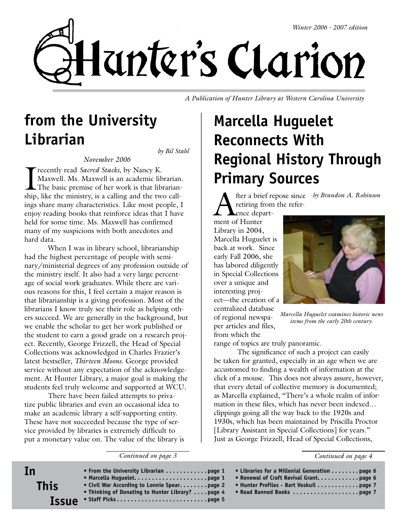

*A Publication of Hunter Library at Western Carolina University*

## **from the University Librarian**

*by Bil Stahl*

*November 2006*

I recently read *Sacred Stacks*, by Nancy K. Maxwell. Ms. Maxwell is an academic librarian. The basic premise of her work is that librarianship, like the ministry, is a calling and the two callings share many characteristics. Like most people, I enjoy reading books that reinforce ideas that I have held for some time. Ms. Maxwell has confirmed many of my suspicions with both anecdotes and hard data.

When I was in library school, librarianship had the highest percentage of people with seminary/ministerial degrees of any profession outside of the ministry itself. It also had a very large percentage of social work graduates. While there are various reasons for this, I feel certain a major reason is that librarianship is a giving profession. Most of the librarians I know truly see their role as helping others succeed. We are generally in the background, but we enable the scholar to get her work published or the student to earn a good grade on a research project. Recently, George Frizzell, the Head of Special Collections was acknowledged in Charles Frazier's latest bestseller, *Thirteen Moons*. George provided service without any expectation of the acknowledgement. At Hunter Library, a major goal is making the students feel truly welcome and supported at WCU.

There have been failed attempts to privatize public libraries and even an occasional idea to make an academic library a self-supporting entity. These have not succeeded because the type of service provided by libraries is extremely difficult to put a monetary value on. The value of the library is

**In**

*Continued on page 3*

# **Marcella Huguelet Reconnects With Regional History Through Primary Sources**

**A** fter a brief repose since *by Brandon A. Robinson*<br>
retiring from the refer-<br>
ence departretiring from the refer-

ence department of Hunter Library in 2004, Marcella Huguelet is back at work. Since early Fall 2006, she has labored diligently in Special Collections over a unique and interesting project—the creation of a centralized database of regional newspaper articles and files,

from which the



*Marcella Huguelet examines historic news items from the early 20th century.*

range of topics are truly panoramic.

The significance of such a project can easily be taken for granted, especially in an age when we are accustomed to finding a wealth of information at the click of a mouse. This does not always assure, however, that every detail of collective memory is documented; as Marcella explained, "There's a whole realm of information in these files, which has never been indexed… clippings going all the way back to the 1920s and 1930s, which has been maintained by Priscilla Proctor [Library Assistant in Special Collections] for years." Just as George Frizzell, Head of Special Collections,

*Continued on page 4*

| • Libraries for a Millenial Generation page 6<br>• Renewal of Craft Revival Grant. page 6<br>• Hunter Profiles - Bart Voskuil page 7 |
|--------------------------------------------------------------------------------------------------------------------------------------|
|                                                                                                                                      |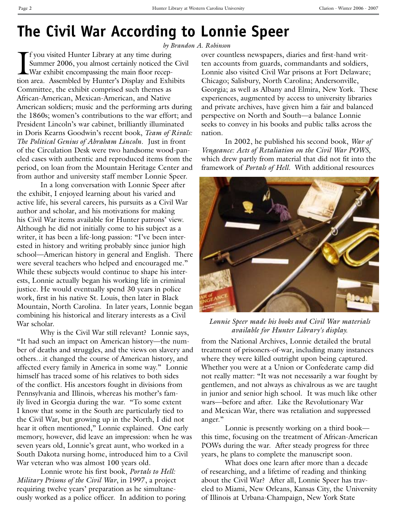### **The Civil War According to Lonnie Speer**

*by Brandon A. Robinson*

I f you visited Hunter Library at any time during Summer 2006, you almost certainly noticed the Civil War exhibit encompassing the main floor reception area. Assembled by Hunter's Display and Exhibits Committee, the exhibit comprised such themes as African-American, Mexican-American, and Native American soldiers; music and the performing arts during the 1860s; women's contributions to the war effort; and President Lincoln's war cabinet, brilliantly illuminated in Doris Kearns Goodwin's recent book, *Team of Rivals: The Political Genius of Abraham Lincoln*. Just in front of the Circulation Desk were two handsome wood-paneled cases with authentic and reproduced items from the period, on loan from the Mountain Heritage Center and from author and university staff member Lonnie Speer.

In a long conversation with Lonnie Speer after the exhibit, I enjoyed learning about his varied and active life, his several careers, his pursuits as a Civil War author and scholar, and his motivations for making his Civil War items available for Hunter patrons' view. Although he did not initially come to his subject as a writer, it has been a life-long passion: "I've been interested in history and writing probably since junior high school—American history in general and English. There were several teachers who helped and encouraged me." While these subjects would continue to shape his interests, Lonnie actually began his working life in criminal justice. He would eventually spend 30 years in police work, first in his native St. Louis, then later in Black Mountain, North Carolina. In later years, Lonnie began combining his historical and literary interests as a Civil War scholar.

Why is the Civil War still relevant? Lonnie says, "It had such an impact on American history—the number of deaths and struggles, and the views on slavery and others…it changed the course of American history, and affected every family in America in some way." Lonnie himself has traced some of his relatives to both sides of the conflict. His ancestors fought in divisions from Pennsylvania and Illinois, whereas his mother's family lived in Georgia during the war. "To some extent I know that some in the South are particularly tied to the Civil War, but growing up in the North, I did not hear it often mentioned," Lonnie explained. One early memory, however, did leave an impression: when he was seven years old, Lonnie's great aunt, who worked in a South Dakota nursing home, introduced him to a Civil War veteran who was almost 100 years old.

Lonnie wrote his first book, *Portals to Hell: Military Prisons of the Civil War*, in 1997, a project requiring twelve years' preparation as he simultaneously worked as a police officer. In addition to poring

over countless newspapers, diaries and first-hand written accounts from guards, commandants and soldiers, Lonnie also visited Civil War prisons at Fort Delaware; Chicago; Salisbury, North Carolina; Andersonville, Georgia; as well as Albany and Elmira, New York. These experiences, augmented by access to university libraries and private archives, have given him a fair and balanced perspective on North and South—a balance Lonnie seeks to convey in his books and public talks across the nation.

In 2002, he published his second book, *War of Vengeance: Acts of Retaliation on the Civil War POWS*, which drew partly from material that did not fit into the framework of *Portals of Hell*. With additional resources



*Lonnie Speer made his books and Civil War materials available for Hunter Library's display.*

from the National Archives, Lonnie detailed the brutal treatment of prisoners-of-war, including many instances where they were killed outright upon being captured. Whether you were at a Union or Confederate camp did not really matter: "It was not necessarily a war fought by gentlemen, and not always as chivalrous as we are taught in junior and senior high school. It was much like other wars—before and after. Like the Revolutionary War and Mexican War, there was retaliation and suppressed anger."

Lonnie is presently working on a third book this time, focusing on the treatment of African-American POWs during the war. After steady progress for three years, he plans to complete the manuscript soon.

What does one learn after more than a decade of researching, and a lifetime of reading and thinking about the Civil War? After all, Lonnie Speer has traveled to Miami, New Orleans, Kansas City, the University of Illinois at Urbana-Champaign, New York State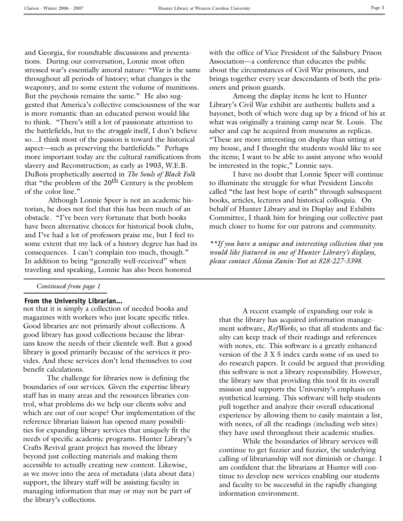and Georgia, for roundtable discussions and presentations. During our conversation, Lonnie most often stressed war's essentially amoral nature: "War is the same throughout all periods of history; what changes is the weaponry, and to some extent the volume of munitions. But the psychosis remains the same." He also suggested that America's collective consciousness of the war is more romantic than an educated person would like to think. "There's still a lot of passionate attention to the battlefields, but to the *struggle* itself, I don't believe so…I think most of the passion is toward the historical aspect—such as preserving the battlefields." Perhaps more important today are the cultural ramifications from slavery and Reconstruction; as early as 1903, W.E.B. DuBois prophetically asserted in *The Souls of Black Folk* that "the problem of the  $20<sup>th</sup>$  Century is the problem of the color line."

Although Lonnie Speer is not an academic historian, he does not feel that this has been much of an obstacle. "I've been very fortunate that both books have been alternative choices for historical book clubs, and I've had a lot of professors praise me, but I feel to some extent that my lack of a history degree has had its consequences. I can't complain too much, though." In addition to being "generally well-received" when traveling and speaking, Lonnie has also been honored

*Continued from page 1*

#### **From the University Librarian...**

not that it is simply a collection of needed books and magazines with workers who just locate specific titles. Good libraries are not primarily about collections. A good library has good collections because the librarians know the needs of their clientele well. But a good library is good primarily because of the services it provides. And these services don't lend themselves to cost benefit calculations.

The challenge for libraries now is defining the boundaries of our services. Given the expertise library staff has in many areas and the resources libraries control, what problems do we help our clients solve and which are out of our scope? Our implementation of the reference librarian liaison has opened many possibilities for expanding library services that uniquely fit the needs of specific academic programs. Hunter Library's Crafts Revival grant project has moved the library beyond just collecting materials and making them accessible to actually creating new content. Likewise, as we move into the area of metadata (data about data) support, the library staff will be assisting faculty in managing information that may or may not be part of the library's collections.

with the office of Vice President of the Salisbury Prison Association—a conference that educates the public about the circumstances of Civil War prisoners, and brings together every year descendants of both the prisoners and prison guards.

Among the display items he lent to Hunter Library's Civil War exhibit are authentic bullets and a bayonet, both of which were dug up by a friend of his at what was originally a training camp near St. Louis. The saber and cap he acquired from museums as replicas. "These are more interesting on display than sitting at my house, and I thought the students would like to see the items; I want to be able to assist anyone who would be interested in the topic," Lonnie says.

I have no doubt that Lonnie Speer will continue to illuminate the struggle for what President Lincoln called "the last best hope of earth" through subsequent books, articles, lectures and historical colloquia. On behalf of Hunter Library and its Display and Exhibits Committee, I thank him for bringing our collective past much closer to home for our patrons and community.

*\*\*If you have a unique and interesting collection that you would like featured in one of Hunter Library's displays, please contact Alessia Zanin-Yost at 828-227-3398.*

A recent example of expanding our role is that the library has acquired information management software, *RefWorks*, so that all students and faculty can keep track of their readings and references with notes, etc. This software is a greatly enhanced version of the 3 X 5 index cards some of us used to do research papers. It could be argued that providing this software is not a library responsibility. However, the library saw that providing this tool fit its overall mission and supports the University's emphasis on synthetical learning. This software will help students pull together and analyze their overall educational experience by allowing them to easily maintain a list, with notes, of all the readings (including web sites) they have used throughout their academic studies.

While the boundaries of library services will continue to get fuzzier and fuzzier, the underlying calling of librarianship will not diminish or change. I am confident that the librarians at Hunter will continue to develop new services enabling our students and faculty to be successful in the rapidly changing information environment.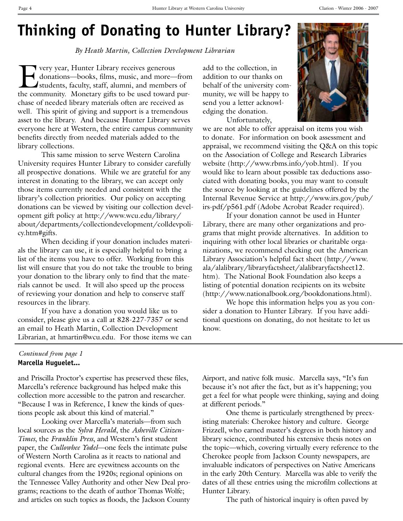#### **Thinking of Donating to Hunter Library?**

*By Heath Martin, Collection Development Librarian*

Very year, Hunter Library receives generous<br>donations—books, films, music, and more—<br>students, faculty, staff, alumni, and members donations—books, films, music, and more—from students, faculty, staff, alumni, and members of the community. Monetary gifts to be used toward purchase of needed library materials often are received as well. This spirit of giving and support is a tremendous asset to the library. And because Hunter Library serves everyone here at Western, the entire campus community benefits directly from needed materials added to the library collections.

This same mission to serve Western Carolina University requires Hunter Library to consider carefully all prospective donations. While we are grateful for any interest in donating to the library, we can accept only those items currently needed and consistent with the library's collection priorities. Our policy on accepting donations can be viewed by visiting our collection development gift policy at http://www.wcu.edu/library/ about/departments/collectiondevelopment/colldevpolicy.htm#gifts.

When deciding if your donation includes materials the library can use, it is especially helpful to bring a list of the items you have to offer. Working from this list will ensure that you do not take the trouble to bring your donation to the library only to find that the materials cannot be used. It will also speed up the process of reviewing your donation and help to conserve staff resources in the library.

If you have a donation you would like us to consider, please give us a call at 828-227-7357 or send an email to Heath Martin, Collection Development Librarian, at hmartin@wcu.edu. For those items we can

#### *Continued from page 1* **Marcella Huguelet...**

and Priscilla Proctor's expertise has preserved these files, Marcella's reference background has helped make this collection more accessible to the patron and researcher. "Because I was in Reference, I knew the kinds of questions people ask about this kind of material."

Looking over Marcella's materials—from such local sources as the *Sylva Herald*, the *Asheville Citizen-Times*, the *Franklin Press*, and Western's first student paper, the *Cullowhee Yodel*—one feels the intimate pulse of Western North Carolina as it reacts to national and regional events. Here are eyewitness accounts on the cultural changes from the 1920s; regional opinions on the Tennessee Valley Authority and other New Deal programs; reactions to the death of author Thomas Wolfe; and articles on such topics as floods, the Jackson County

add to the collection, in addition to our thanks on behalf of the university community, we will be happy to send you a letter acknowledging the donation.

Unfortunately,



we are not able to offer appraisal on items you wish to donate. For information on book assessment and appraisal, we recommend visiting the Q&A on this topic on the Association of College and Research Libraries website (http://www.rbms.info/yob.html). If you would like to learn about possible tax deductions associated with donating books, you may want to consult the source by looking at the guidelines offered by the Internal Revenue Service at http://www.irs.gov/pub/ irs-pdf/p561.pdf (Adobe Acrobat Reader required).

If your donation cannot be used in Hunter Library, there are many other organizations and programs that might provide alternatives. In addition to inquiring with other local libraries or charitable organizations, we recommend checking out the American Library Association's helpful fact sheet (http://www. ala/alalibrary/libraryfactsheet/alalibraryfactsheet12. htm). The National Book Foundation also keeps a listing of potential donation recipients on its website (http://www.nationalbook.org/bookdonations.html).

We hope this information helps you as you consider a donation to Hunter Library. If you have additional questions on donating, do not hesitate to let us know.

Airport, and native folk music. Marcella says, "It's fun because it's not after the fact, but as it's happening; you get a feel for what people were thinking, saying and doing at different periods."

One theme is particularly strengthened by preexisting materials: Cherokee history and culture. George Frizzell, who earned master's degrees in both history and library science, contributed his extensive thesis notes on the topic—which, covering virtually every reference to the Cherokee people from Jackson County newspapers, are invaluable indicators of perspectives on Native Americans in the early 20th Century. Marcella was able to verify the dates of all these entries using the microfilm collections at Hunter Library.

The path of historical inquiry is often paved by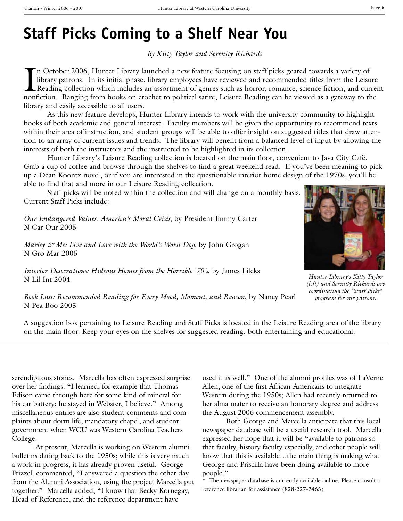#### **Staff Picks Coming to a Shelf Near You**

*By Kitty Taylor and Serenity Richards*

In October 2006, Hunter Library launched a new feature focusing on staff picks geared towards a variety of library patrons. In its initial phase, library employees have reviewed and recommended titles from the Leisure Read n October 2006, Hunter Library launched a new feature focusing on staff picks geared towards a variety of library patrons. In its initial phase, library employees have reviewed and recommended titles from the Leisure Reading collection which includes an assortment of genres such as horror, romance, science fiction, and current library and easily accessible to all users.

As this new feature develops, Hunter Library intends to work with the university community to highlight books of both academic and general interest. Faculty members will be given the opportunity to recommend texts within their area of instruction, and student groups will be able to offer insight on suggested titles that draw attention to an array of current issues and trends. The library will benefit from a balanced level of input by allowing the interests of both the instructors and the instructed to be highlighted in its collection.

Hunter Library's Leisure Reading collection is located on the main floor, convenient to Java City Café. Grab a cup of coffee and browse through the shelves to find a great weekend read. If you've been meaning to pick up a Dean Koontz novel, or if you are interested in the questionable interior home design of the 1970s, you'll be able to find that and more in our Leisure Reading collection.

Staff picks will be noted within the collection and will change on a monthly basis. Current Staff Picks include:

*Our Endangered Values: America's Moral Crisis*, by President Jimmy Carter N Car Our 2005

*Marley & Me: Live and Love with the World's Worst Dog, by John Grogan* N Gro Mar 2005

*Interior Desecrations: Hideous Homes from the Horrible '70's,* by James Lileks N Lil Int 2004



*Hunter Library's Kitty Taylor (left) and Serenity Richards are coordinating the "Staff Picks" program for our patrons.*

*Book Lust: Recommended Reading for Every Mood, Moment, and Reason*, by Nancy Pearl N Pea Boo 2003

A suggestion box pertaining to Leisure Reading and Staff Picks is located in the Leisure Reading area of the library on the main floor. Keep your eyes on the shelves for suggested reading, both entertaining and educational.

serendipitous stones. Marcella has often expressed surprise over her findings: "I learned, for example that Thomas Edison came through here for some kind of mineral for his car battery; he stayed in Webster, I believe." Among miscellaneous entries are also student comments and complaints about dorm life, mandatory chapel, and student government when WCU was Western Carolina Teachers College.

At present, Marcella is working on Western alumni bulletins dating back to the 1950s; while this is very much a work-in-progress, it has already proven useful. George Frizzell commented, "I answered a question the other day from the Alumni Association, using the project Marcella put together." Marcella added, "I know that Becky Kornegay, Head of Reference, and the reference department have

used it as well." One of the alumni profiles was of LaVerne Allen, one of the first African-Americans to integrate Western during the 1950s; Allen had recently returned to her alma mater to receive an honorary degree and address the August 2006 commencement assembly.

Both George and Marcella anticipate that this local newspaper database will be a useful research tool. Marcella expressed her hope that it will be "available to patrons so that faculty, history faculty especially, and other people will know that this is available…the main thing is making what George and Priscilla have been doing available to more people."

\* The newspaper database is currently available online. Please consult a reference librarian for assistance (828-227-7465).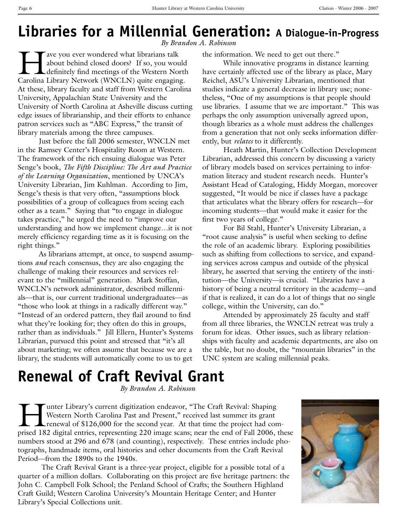## **Libraries for a Millennial Generation: A Dialogue-in-Progress**

*By Brandon A. Robinson*

Tave you ever wondered what librarians talk about behind closed doors? If so, you would definitely find meetings of the Western North Carolina Library Network (WNCLN) quite engaging. At these, library faculty and staff from Western Carolina University, Appalachian State University and the University of North Carolina at Asheville discuss cutting edge issues of librarianship, and their efforts to enhance patron services such as "ABC Express," the transit of library materials among the three campuses.

Just before the fall 2006 semester, WNCLN met in the Ramsey Center's Hospitality Room at Western. The framework of the rich ensuing dialogue was Peter Senge's book, *The Fifth Discipline: The Art and Practice of the Learning Organization*, mentioned by UNCA's University Librarian, Jim Kuhlman. According to Jim, Senge's thesis is that very often, "assumptions block possibilities of a group of colleagues from seeing each other as a team." Saying that "to engage in dialogue takes practice," he urged the need to "improve our understanding and how we implement change…it is not merely efficiency regarding time as it is focusing on the right things."

As librarians attempt, at once, to suspend assumptions *and* reach consensus, they are also engaging the challenge of making their resources and services relevant to the "millennial" generation. Mark Stoffan, WNCLN's network administrator, described millennials—that is, our current traditional undergraduates—as "those who look at things in a radically different way." "Instead of an ordered pattern, they flail around to find what they're looking for; they often do this in groups, rather than as individuals." Jill Ellern, Hunter's Systems Librarian, pursued this point and stressed that "it's all about marketing; we often assume that because we are a library, the students will automatically come to us to get

the information. We need to get out there."

While innovative programs in distance learning have certainly affected use of the library as place, Mary Reichel, ASU's University Librarian, mentioned that studies indicate a general decrease in library use; nonetheless, "One of my assumptions is that people should use libraries. I assume that we are important." This was perhaps the only assumption universally agreed upon, though libraries as a whole must address the challenges from a generation that not only seeks information differently, but *relates* to it differently.

Heath Martin, Hunter's Collection Development Librarian, addressed this concern by discussing a variety of library models based on services pertaining to information literacy and student research needs. Hunter's Assistant Head of Cataloging, Hiddy Morgan, moreover suggested, "It would be nice if classes have a package that articulates what the library offers for research—for incoming students—that would make it easier for the first two years of college."

For Bil Stahl, Hunter's University Librarian, a "root cause analysis" is useful when seeking to define the role of an academic library. Exploring possibilities such as shifting from collections to service, and expanding services across campus and outside of the physical library, he asserted that serving the entirety of the institution—the University—is crucial. "Libraries have a history of being a neutral territory in the academy—and if that is realized, it can do a lot of things that no single college, within the University, can do."

Attended by approximately 25 faculty and staff from all three libraries, the WNCLN retreat was truly a forum for ideas. Other issues, such as library relationships with faculty and academic departments, are also on the table, but no doubt, the "mountain libraries" in the UNC system are scaling millennial peaks.

## **Renewal of Craft Revival Grant**

*By Brandon A. Robinson*

Tunter Library's current digitization endeavor, "The Craft Revival: Shaping<br>Western North Carolina Past and Present," received last summer its grant<br>renewal of \$126,000 for the second year. At that time the project had con Western North Carolina Past and Present," received last summer its grant renewal of \$126,000 for the second year. At that time the project had comprised 182 digital entries, representing 220 image scans; near the end of Fall 2006, these numbers stood at 296 and 678 (and counting), respectively. These entries include photographs, handmade items, oral histories and other documents from the Craft Revival Period—from the 1890s to the 1940s.

The Craft Revival Grant is a three-year project, eligible for a possible total of a quarter of a million dollars. Collaborating on this project are five heritage partners: the John C. Campbell Folk School; the Penland School of Crafts; the Southern Highland Craft Guild; Western Carolina University's Mountain Heritage Center; and Hunter Library's Special Collections unit.

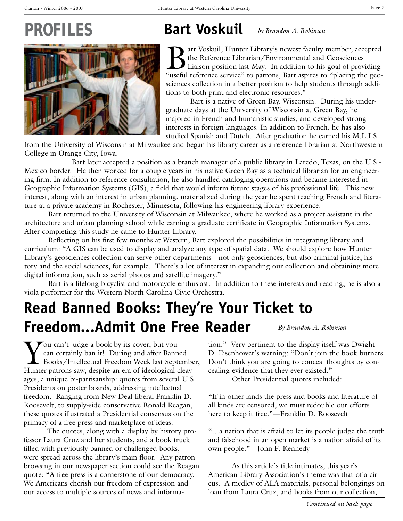# PROFILE



### **Bart Voskuil**

*by Brandon A. Robinson*

Bart Voskuil, Hunter Library's newest faculty member, accepted<br>the Reference Librarian/Environmental and Geosciences<br>"Liaison position last May. In addition to his goal of providing<br>"useful reference service" to patrons. B the Reference Librarian/Environmental and Geosciences Liaison position last May. In addition to his goal of providing "useful reference service" to patrons, Bart aspires to "placing the geosciences collection in a better position to help students through additions to both print and electronic resources."

 Bart is a native of Green Bay, Wisconsin. During his undergraduate days at the University of Wisconsin at Green Bay, he majored in French and humanistic studies, and developed strong interests in foreign languages. In addition to French, he has also studied Spanish and Dutch. After graduation he earned his M.L.I.S.

from the University of Wisconsin at Milwaukee and began his library career as a reference librarian at Northwestern College in Orange City, Iowa.

 Bart later accepted a position as a branch manager of a public library in Laredo, Texas, on the U.S.- Mexico border. He then worked for a couple years in his native Green Bay as a technical librarian for an engineering firm. In addition to reference consultation, he also handled cataloging operations and became interested in Geographic Information Systems (GIS), a field that would inform future stages of his professional life. This new interest, along with an interest in urban planning, materialized during the year he spent teaching French and literature at a private academy in Rochester, Minnesota, following his engineering library experience.

Bart returned to the University of Wisconsin at Milwaukee, where he worked as a project assistant in the architecture and urban planning school while earning a graduate certificate in Geographic Information Systems. After completing this study he came to Hunter Library.

Reflecting on his first few months at Western, Bart explored the possibilities in integrating library and curriculum: "A GIS can be used to display and analyze any type of spatial data. We should explore how Hunter Library's geosciences collection can serve other departments—not only geosciences, but also criminal justice, history and the social sciences, for example. There's a lot of interest in expanding our collection and obtaining more digital information, such as aerial photos and satellite imagery."

Bart is a lifelong bicyclist and motorcycle enthusiast. In addition to these interests and reading, he is also a viola performer for the Western North Carolina Civic Orchestra.

## **Read Banned Books: They're Your Ticket to Freedom...Admit One Free Reader**

You can't judge a book by its cover, but you<br>can certainly ban it! During and after Bann<br>Books/Intellectual Freedom Week last Septe can certainly ban it! During and after Banned Books/Intellectual Freedom Week last September, Hunter patrons saw, despite an era of ideological cleavages, a unique bi-partisanship: quotes from several U.S. Presidents on poster boards, addressing intellectual freedom. Ranging from New Deal-liberal Franklin D. Roosevelt, to supply-side conservative Ronald Reagan, these quotes illustrated a Presidential consensus on the primacy of a free press and marketplace of ideas.

The quotes, along with a display by history professor Laura Cruz and her students, and a book truck filled with previously banned or challenged books, were spread across the library's main floor. Any patron browsing in our newspaper section could see the Reagan quote: "A free press is a cornerstone of our democracy. We Americans cherish our freedom of expression and our access to multiple sources of news and informa*By Brandon A. Robinson*

tion." Very pertinent to the display itself was Dwight D. Eisenhower's warning: "Don't join the book burners. Don't think you are going to conceal thoughts by concealing evidence that they ever existed."

Other Presidential quotes included:

"If in other lands the press and books and literature of all kinds are censored, we must redouble our efforts here to keep it free."—Franklin D. Roosevelt

"…a nation that is afraid to let its people judge the truth and falsehood in an open market is a nation afraid of its own people."—John F. Kennedy

As this article's title intimates, this year's American Library Association's theme was that of a circus. A medley of ALA materials, personal belongings on loan from Laura Cruz, and books from our collection,